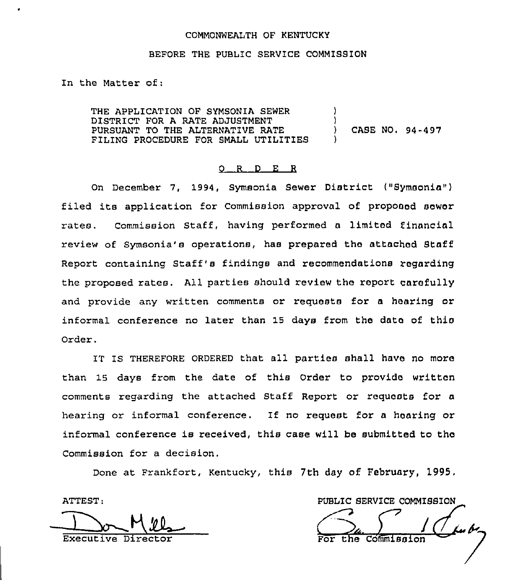### COMMONWEALTH OF KENTUCKY

## BEFORE THE PUBLIC SERVICE COMMISSION

In the Matter of:

THE APPLICATION OF SYMSONIA SEWER DISTRICT FOR A RATE ADJUSTMENT PURSUANT TO THE ALTERNATIVE RATE ) CASE NO, 94-497 FILING PROCEDURE FOR SMALL UTILITIES )

#### 0 R <sup>D</sup> E R

On December 7, 1994, Symsonia Sewer District ("Symsonia") filed its application for Commission approval of proposed sower rates. Commission Staff, having performed a limited financial review of Symsonia's operations, has prepared the attached Staff Report containing staff's findings and recommendations regarding the proposed rates. All parties should review the report carefully and provide any written comments or requests for a hearing or infoxmal conference no later than 19 days from the date of this Qrdex.

IT IS THEREFORE ORDERED that all Parties shall have no moxa than 19 days from the date of this Order to provide written comments regarding the attached Staff Report or requests for a hearing or informal conference. If no request for <sup>a</sup> hearing or informal conference is received, this case will be submitted to the Commission for a decision.

Done at Frankfort, Kentucky, this 7th day of February, 1995.

ATTEST:

ATTEST:<br>
Executive Director For the Commission  $\overline{\texttt{the}}$  Commissi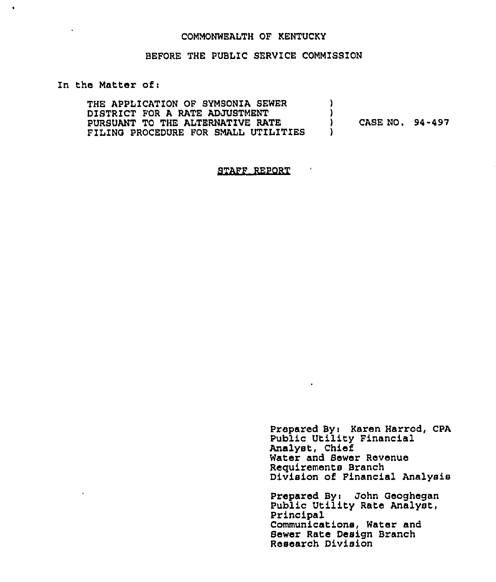#### COMMONWEALTH OF KENTUCKY

## BEFORE THE PUBLIC SERVICE COMMISSION

## In the Matter of <sup>i</sup>

 $\ddot{\phantom{a}}$ 

 $\bullet$ 

THE APPLICATION OF SYMSONIA SEWER DISTRICT FOR A RATE ADJUSTMENT PURSUANT TO THE ALTERNATIVE RATE FILING PROCEDURE FOR SMALL UTILITIES ) )<br>) ) CASE NO. 94-497 )

#### STAFF REPORT

Prepared By: Karen Harrod, CPA Public Utility Financial Analyst, Chief Water and Sewer Revenue Requirements Branch Division of Financial Analysis

 $\hat{\mathbf{r}}$ 

Prepared Byt John Geoghegan Public Utility Rate Analyst, Principal Communications, Water and Sewer Rate Design Branch Research Division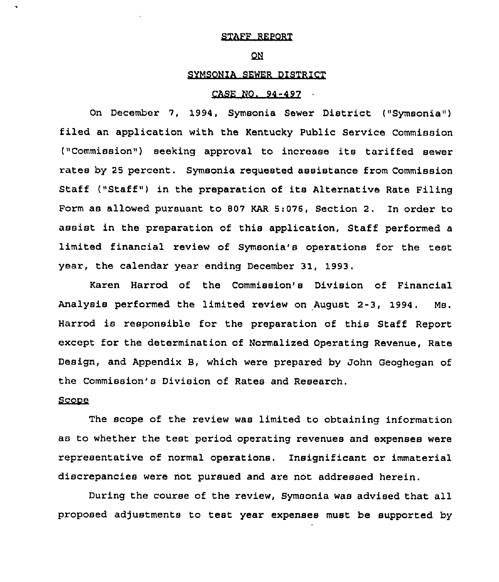## STAFF REPORT

#### QN.

## SYMSQNIA SEWER DISTRICT

#### CASE NO. 94-497

On December 7, 1994, Symsonia Sewer District ("Symsonia") filed an application with the Kentucky Public Service Commission ("Commission") seeking approval to increase its tariffed sewer rates by 25 percent. Symsonia requested assistance from Commission Staff ("Staff") in the preparation of its Alternative Rate Filing Form as allowed pursuant to 807 KAR 5:076, Section 2. In order to assist in the preparation of this application, Staff performed a limited financial review of Symsonia's operations for the test year, the calendar year ending December 31, 1993.

Karen Harrod of the Commission's Division of Financial Analysis performed the limited review on August  $2-3$ , 1994. Ms. Harrod is responsible for the preparation of this Staff Report except for the determination of Normalized Operating Revenue, Rate Design, and Appendix B, which were prepared by John Geoghegan of the Commission's Division of Rates and Research.

## Scope

The scope of the review was limited to obtaining information as to whether the test period operating revenues and expenses were representative of normal operations, Insignificant or immaterial discxepancies were not pursued and are not addressed herein.

During the course of the review, Symsonia was advised that all proposed adjustments to test year expenses must be supported by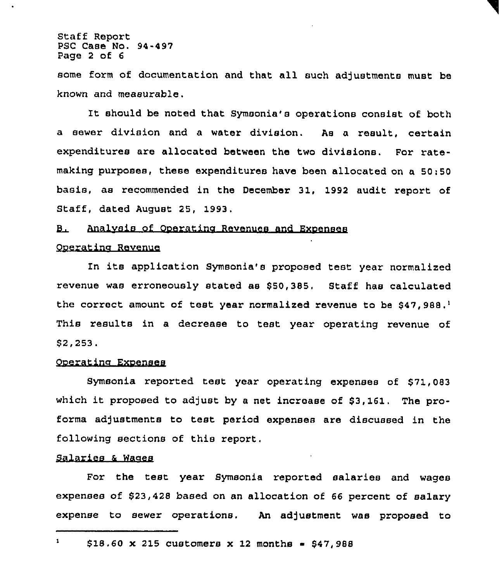Staff Report PSC Case No. 94-497 Page <sup>2</sup> of <sup>6</sup>

some form of documentation and that all such adjustments must be known and measurable.

It should be noted that Symsonia's operations consist of both a sewer division and a water division. As a result, certain expenditures are allocated between the two divisions. For ratemaking purposes, these expenditures have been allocated on a 50:50 basis, as recommended in the December 31, 1992 audit report of Staff, dated August 25, 1993.

#### Analvsis of Ooeratina Revenues and Exoenees В.

### Oneratina Revenue

In its application Symsonia's proposed test year normalized revenue was erroneously stated as \$50,385. Staff has calculated the correct amount of test year normalized revenue to be \$47,988.1 This results in a decrease to test year operating revenue of \$ 2,253.

## Ooeratine Exoenses

Symsonia reported test year operating expenses of \$71,083 which it proposed to adjust by a net increase of  $$3,161$ . The proforma adjustments to test period expenses are discussed in the following sections of this report,

## Salaries & Wages

For the test year Symsonia reported salaries and wages expenses of \$23,428 based on an allocation of 66 percent of salary expense to sewer operations. An adjustment was proposed to

 $\mathbf{1}$  $$18.60 \times 215$  customers x 12 months = \$47,988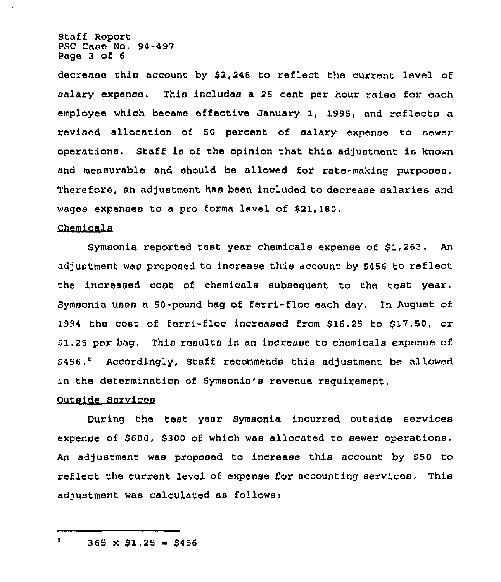Staff Report PSC Case No. 94-497 Page 3 of <sup>6</sup>

decrease this account by \$2,248 to reflect the current level of salary expense. This includes a 25 cent per hour raise for each employee which became effective January 1, 1995, and reflects a revised allocation of 50 percent of salary expense to sewer operations. Staff is of the opinion that this adjustment is known and measurable and should be allowed for rate-making purposes. Therefore, an adjustment has been included to decrease salaries and wages expenses to a pro forma level of \$21,180.

## Chemicals

Symsonia reported test year chemicals expense of  $$1,263$ . An adjustment was proposed to increase this account by \$456 to reflect the increased cost of chemicals subsequent to the test year. Symsonia uses a 50-pound bag of ferri-floc each day. In August of 1994 the cost of ferri-floc increased from \$16.25 to \$17.50, or \$1.25 per bag. This results in an increase to chemicals expense of  $$456.^2$  Accordingly, Staff recommends this adjustment be allowed in the determination of Symsonia's revenue requirement.

# Outside Services

During the test year Symsonia incurred outside services expense of \$600, \$300 of which was allocated to sewer operations An adjustment was proposed to increase this account by \$50 to reflect the current level of expense for accounting services. This adjustment was calculated as follows:

 $\overline{\mathbf{a}}$  $365 \times $1.25 = $456$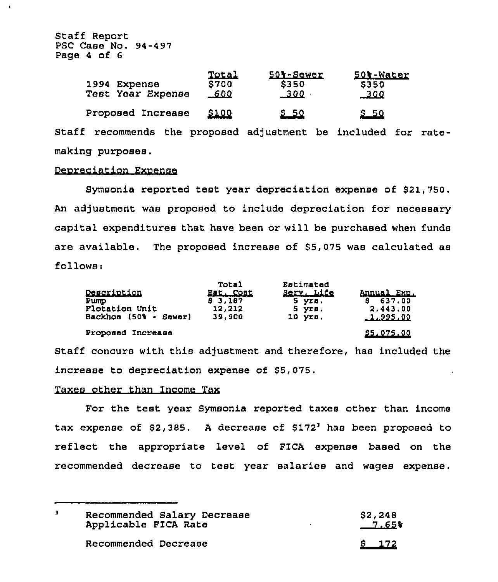Staff Report PSC Case No. 94-497 Page <sup>4</sup> of <sup>6</sup>

| 4 OI 6                            |                                      |                                         |                                         |
|-----------------------------------|--------------------------------------|-----------------------------------------|-----------------------------------------|
| 1994 Expense<br>Test Year Expense | <b>Total</b><br>\$700<br><u>_600</u> | 501-Sewer<br><b>S350</b><br><u>_300</u> | 501-Water<br><b>S350</b><br><u>_300</u> |
| Proposed Increase                 | <u> 5100</u>                         | <u>S 50</u>                             | <u>s 50</u>                             |

Staff recommends the proposed adjustment be included for ratemaking purposes.

#### Deoreciation Exoense

Symsonia reported test year depreciation expense of \$21,750. An adjustment was proposed to include depreciation for necessary capital expenditures that have been or will be purchased when funds are available. The proposed increase of 55,075 was calculated as follows:

| Description<br>Pump<br>Flotation Unit<br>Backhoe (50% - Sewer) | <b>Total</b><br>Est. Cost<br>83,187<br>12,212<br>39,900 | Estimated<br>Serv. Life<br>5 yrs.<br>5 yrs.<br>$10$ $Y2B.$ | Annual Exp.<br>\$637.00<br>2,443.00<br>1,995,00 |
|----------------------------------------------------------------|---------------------------------------------------------|------------------------------------------------------------|-------------------------------------------------|
| Proposed Increase                                              |                                                         |                                                            | \$5,075,00                                      |

Staff concurs with this adjustment and therefore, has included the increase to depreciation expense of 85,075.

## Taxes other than Income Tax

For the test year Symsonia reported taxes other than income tax expense of  $$2,385$ . A decrease of  $$172<sup>1</sup>$  has been proposed to reflect the appropriate level of FICA expense based on the recommended decrease to test year salaries and wages expense.

| Recommended Salary Decrease<br>Applicable FICA Rate |                      | S2,248<br>$-7.65$ |
|-----------------------------------------------------|----------------------|-------------------|
|                                                     | Recommended Decrease | <u>5 172</u>      |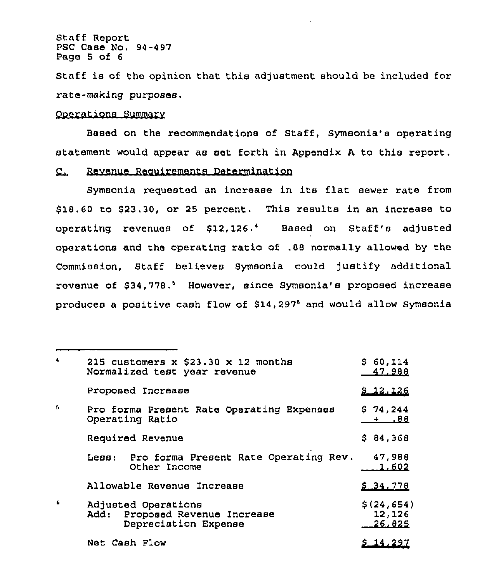Staff Report PSC Case No. 94-497 Page 5 of <sup>6</sup>

Staff is of the opinion that this adjustment should be included for rate-making purposes,

## Ooerations Summarv

Based on the recommendations of Staff, Symsonia's operating statement would appear as set forth in Appendix <sup>A</sup> to this report.

# C. Revenue Requirements Determination

Symsonia requested an increase in its flat sewer rate from \$ 18.60 to \$23.30, or 25 percent. This results in an increase to operating revenues of \$12,126.<sup>4</sup> Based on Staff's adjusted operations and the operating ratio of .88 normally allowed by the Commission, Staff believes Symsonia could )ustify additional revenue of \$34,778.' However, since Symsonia's proposed increase produces a positive cash flow of \$14,297<sup>6</sup> and would allow Symsonia

| $\blacktriangleleft$ | 215 customers $x$ \$23.30 $x$ 12 months<br>Normalized test year revenue          | \$60,114<br>47,988              |
|----------------------|----------------------------------------------------------------------------------|---------------------------------|
|                      | Proposed Increase                                                                | \$12.126                        |
| G.                   | Pro forma Present Rate Operating Expenses<br>Operating Ratio                     | \$74,244<br>88                  |
|                      | Required Revenue                                                                 | \$84,368                        |
|                      | Pro forma Present Rate Operating Rev.<br>Les:<br>Other Income                    | 47,988<br>1,602                 |
|                      | Allowable Revenue Increase                                                       | 5.34.778                        |
| -6                   | Adjusted Operations<br>Proposed Revenue Increase<br>Add:<br>Depreciation Expense | \$(24, 654)<br>12,126<br>26,825 |
|                      | Net Cash Flow                                                                    | <u>5 14,297</u>                 |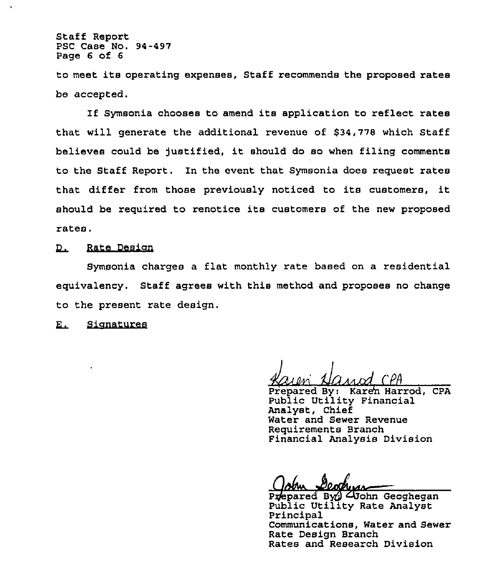Staff Report PSC Case No. 94-497 Page 6 of <sup>6</sup>

to meet its operating expenses, Staff recommends the proposed rates be accepted.

If Symsonia chooses to amend its application to reflect rates that will generate the additional revenue of \$34,778 which Staff believes could be )ustified, it should do so when filing comments to the Staff Report. In the event that Symsonia does request rates that differ from those previously noticed to its customers, it should be required to renotice its customers of the new proposed rates.

# D. Rate Design

Symsonia charges a flat monthly rate based on a residential equivalency. Staff agrees with this method and proposes no change to the present rate design.

E. Signatures

<u>Kaien Nazad CPH</u>

Piepared By: Karen Harrod, CPA Public Utility Financia Analyst, Chief Water and Sewer Revenue Requirements Branch Financial Analysis Division

Prepared By Clichn Geoghegan Public Utility Rate Analyst Principal Communications, Water and Sewer Rate Design Branch Rates and Research Division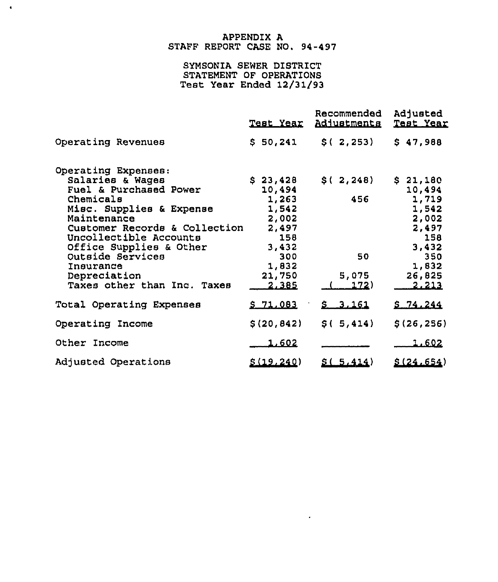# APPENDIX A STAFF REPORT CASE NO. 94-497

 $\mathbf{A}^{\dagger}$ 

# SYMSONIA SEWER DISTRICT STATEMENT OF OPERATIONS Test Year Ended 12/31(93

|                               | <u>Test Year</u> | Recommended<br>Adjustments | Adjusted<br>Test Year |
|-------------------------------|------------------|----------------------------|-----------------------|
| Operating Revenues            | \$50,241         | \$(.2, 253)                | \$47,988              |
| Operating Expenses:           |                  |                            |                       |
| Salaries & Wages              | \$23,428         | \$(2,248)                  | \$21,180              |
| Fuel & Purchased Power        | 10,494           |                            | 10,494                |
| Chemicals                     | 1,263            | 456                        | 1,719                 |
| Misc. Supplies & Expense      | 1,542            |                            | 1,542                 |
| Maintenance                   | 2,002            |                            | 2,002                 |
| Customer Records & Collection | 2,497            |                            | 2,497                 |
| Uncollectible Accounts        | 158              |                            | 158                   |
| Office Supplies & Other       | 3,432            |                            | 3,432                 |
| Outside Services              | 300              | 50                         | 350                   |
| Insurance<br>Depreciation     | 1,832<br>21,750  | 5,075                      | 1,832<br>26,825       |
| Taxes other than Inc. Taxes   | 2.385            | 172)                       | 2.213                 |
|                               |                  |                            |                       |
| Total Operating Expenses      | $S$ 71 083       | 5, 3, 161                  | 5.74.244              |
| Operating Income              | \$(20, 842)      | \$(.5, 414)                | \$(26, 256)           |
| Other Income                  | 1.602            |                            | 1.602                 |
| Adjusted Operations           | \$(19, 240)      | 5(5.414)                   | \$(24.654)            |

 $\sim 10^{-10}$